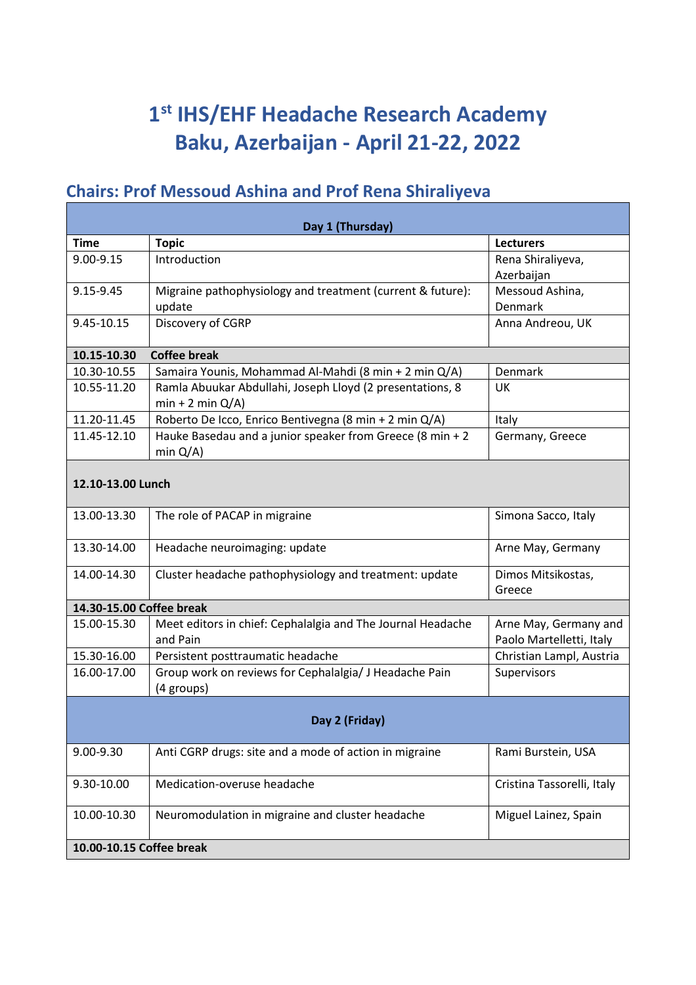## **1 st IHS/EHF Headache Research Academy Baku, Azerbaijan - April 21-22, 2022**

## **Chairs: Prof Messoud Ashina and Prof Rena Shiraliyeva**

| Day 1 (Thursday)         |                                                                                |                                                   |  |
|--------------------------|--------------------------------------------------------------------------------|---------------------------------------------------|--|
| <b>Time</b>              | <b>Topic</b>                                                                   | <b>Lecturers</b>                                  |  |
| 9.00-9.15                | Introduction                                                                   | Rena Shiraliyeva,                                 |  |
|                          |                                                                                | Azerbaijan                                        |  |
| 9.15-9.45                | Migraine pathophysiology and treatment (current & future):                     | Messoud Ashina,                                   |  |
|                          | update                                                                         | Denmark                                           |  |
| 9.45-10.15               | Discovery of CGRP                                                              | Anna Andreou, UK                                  |  |
| 10.15-10.30              | <b>Coffee break</b>                                                            |                                                   |  |
| 10.30-10.55              | Samaira Younis, Mohammad Al-Mahdi (8 min + 2 min Q/A)                          | Denmark                                           |  |
| 10.55-11.20              | Ramla Abuukar Abdullahi, Joseph Lloyd (2 presentations, 8<br>$min + 2 min Q/A$ | UK                                                |  |
| 11.20-11.45              | Roberto De Icco, Enrico Bentivegna (8 min + 2 min Q/A)                         | Italy                                             |  |
| 11.45-12.10              | Hauke Basedau and a junior speaker from Greece (8 min + 2<br>min $Q/A$ )       | Germany, Greece                                   |  |
| 12.10-13.00 Lunch        |                                                                                |                                                   |  |
| 13.00-13.30              | The role of PACAP in migraine                                                  | Simona Sacco, Italy                               |  |
| 13.30-14.00              | Headache neuroimaging: update                                                  | Arne May, Germany                                 |  |
| 14.00-14.30              | Cluster headache pathophysiology and treatment: update                         | Dimos Mitsikostas,<br>Greece                      |  |
| 14.30-15.00 Coffee break |                                                                                |                                                   |  |
| 15.00-15.30              | Meet editors in chief: Cephalalgia and The Journal Headache<br>and Pain        | Arne May, Germany and<br>Paolo Martelletti, Italy |  |
| 15.30-16.00              | Persistent posttraumatic headache                                              | Christian Lampl, Austria                          |  |
| 16.00-17.00              | Group work on reviews for Cephalalgia/ J Headache Pain<br>(4 groups)           | Supervisors                                       |  |
| Day 2 (Friday)           |                                                                                |                                                   |  |
| 9.00-9.30                | Anti CGRP drugs: site and a mode of action in migraine                         | Rami Burstein, USA                                |  |
| 9.30-10.00               | Medication-overuse headache                                                    | Cristina Tassorelli, Italy                        |  |
| 10.00-10.30              | Neuromodulation in migraine and cluster headache                               | Miguel Lainez, Spain                              |  |
| 10.00-10.15 Coffee break |                                                                                |                                                   |  |